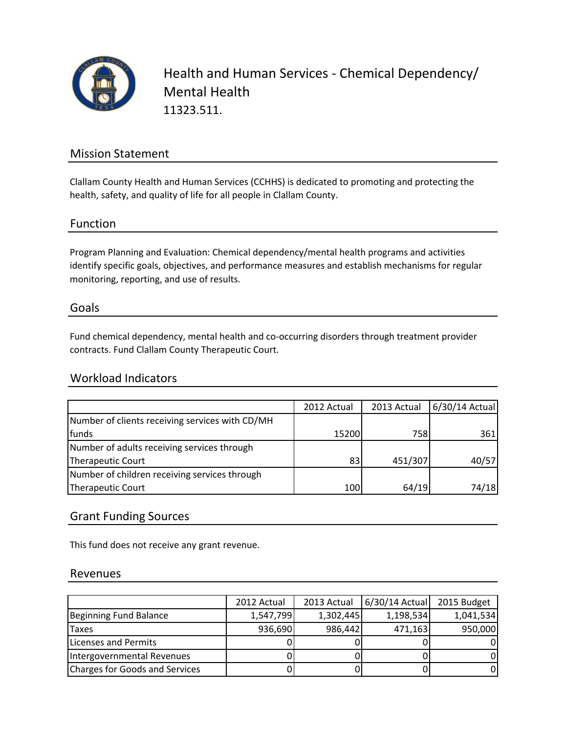

Health and Human Services - Chemical Dependency/ Mental Health 11323.511.

## Mission Statement

Clallam County Health and Human Services (CCHHS) is dedicated to promoting and protecting the health, safety, and quality of life for all people in Clallam County.

### Function

Program Planning and Evaluation: Chemical dependency/mental health programs and activities identify specific goals, objectives, and performance measures and establish mechanisms for regular monitoring, reporting, and use of results.

#### Goals

Fund chemical dependency, mental health and co-occurring disorders through treatment provider contracts. Fund Clallam County Therapeutic Court.

### Workload Indicators

|                                                 | 2012 Actual | 2013 Actual | 6/30/14 Actual |
|-------------------------------------------------|-------------|-------------|----------------|
| Number of clients receiving services with CD/MH |             |             |                |
| funds                                           | 15200       | 758I        | 361            |
| Number of adults receiving services through     |             |             |                |
| Therapeutic Court                               | 83          | 451/307     | 40/57          |
| Number of children receiving services through   |             |             |                |
| Therapeutic Court                               | 100         | 64/19       | 74/18          |

### Grant Funding Sources

This fund does not receive any grant revenue.

#### Revenues

|                                       | 2012 Actual | 2013 Actual | 6/30/14 Actual | 2015 Budget |
|---------------------------------------|-------------|-------------|----------------|-------------|
| Beginning Fund Balance                | 1,547,799   | 1,302,445   | 1,198,534      | 1,041,534   |
| <b>Taxes</b>                          | 936,690     | 986,442     | 471,163        | 950,000     |
| Licenses and Permits                  |             |             |                |             |
| Intergovernmental Revenues            |             |             |                |             |
| <b>Charges for Goods and Services</b> |             |             |                |             |